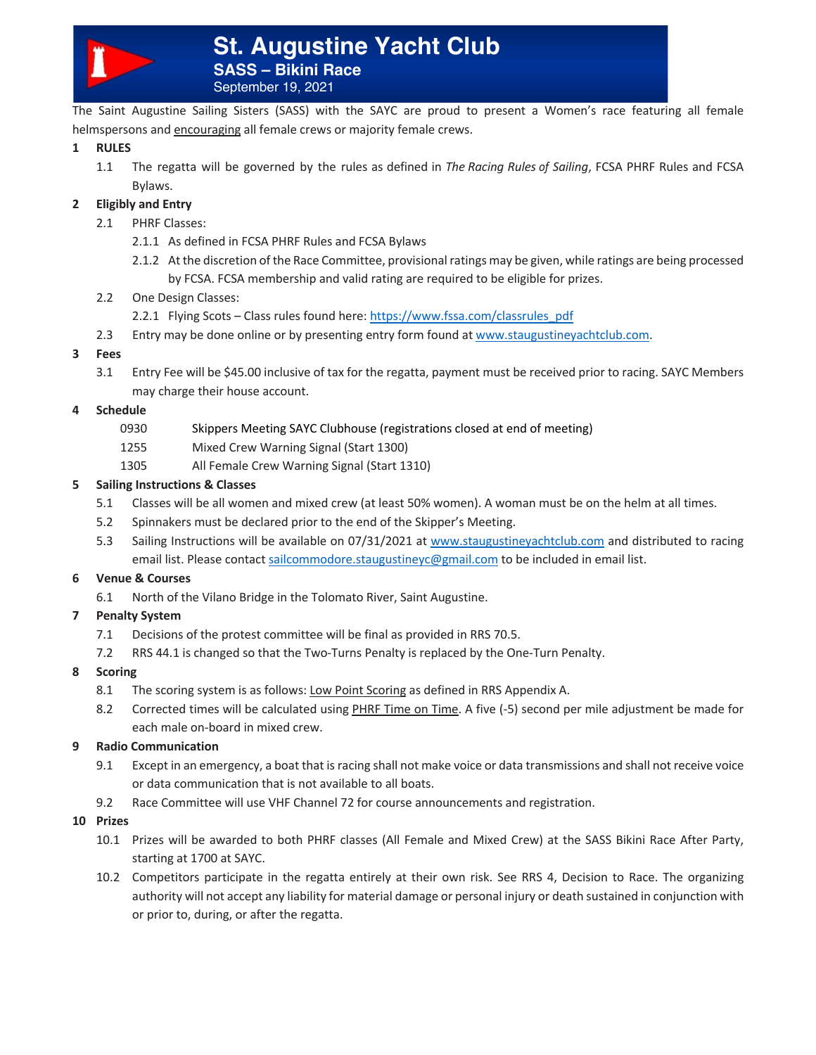

The Saint Augustine Sailing Sisters (SASS) with the SAYC are proud to present a Women's race featuring all female helmspersons and encouraging all female crews or majority female crews.

## **1 RULES**

1.1 The regatta will be governed by the rules as defined in *The Racing Rules of Sailing*, FCSA PHRF Rules and FCSA Bylaws.

# **2 Eligibly and Entry**

- 2.1 PHRF Classes:
	- 2.1.1 As defined in FCSA PHRF Rules and FCSA Bylaws
	- 2.1.2 At the discretion of the Race Committee, provisional ratings may be given, while ratings are being processed by FCSA. FCSA membership and valid rating are required to be eligible for prizes.
- 2.2 One Design Classes:
	- 2.2.1 Flying Scots Class rules found here: https://www.fssa.com/classrules\_pdf
- 2.3 Entry may be done online or by presenting entry form found at www.staugustineyachtclub.com.
- **3 Fees**
	- 3.1 Entry Fee will be \$45.00 inclusive of tax for the regatta, payment must be received prior to racing. SAYC Members may charge their house account.

## **4 Schedule**

- 0930 Skippers Meeting SAYC Clubhouse (registrations closed at end of meeting)
- 1255 Mixed Crew Warning Signal (Start 1300)
- 1305 All Female Crew Warning Signal (Start 1310)

## **5 Sailing Instructions & Classes**

- 5.1 Classes will be all women and mixed crew (at least 50% women). A woman must be on the helm at all times.
- 5.2 Spinnakers must be declared prior to the end of the Skipper's Meeting.
- 5.3 Sailing Instructions will be available on 07/31/2021 at www.staugustineyachtclub.com and distributed to racing email list. Please contact sailcommodore.staugustineyc@gmail.com to be included in email list.

#### **6 Venue & Courses**

6.1 North of the Vilano Bridge in the Tolomato River, Saint Augustine.

## **7 Penalty System**

- 7.1 Decisions of the protest committee will be final as provided in RRS 70.5.
- 7.2 RRS 44.1 is changed so that the Two-Turns Penalty is replaced by the One-Turn Penalty.

## **8 Scoring**

- 8.1 The scoring system is as follows: Low Point Scoring as defined in RRS Appendix A.
- 8.2 Corrected times will be calculated using PHRF Time on Time. A five (-5) second per mile adjustment be made for each male on-board in mixed crew.

## **9 Radio Communication**

- 9.1 Except in an emergency, a boat that is racing shall not make voice or data transmissions and shall not receive voice or data communication that is not available to all boats.
- 9.2 Race Committee will use VHF Channel 72 for course announcements and registration.

#### **10 Prizes**

- 10.1 Prizes will be awarded to both PHRF classes (All Female and Mixed Crew) at the SASS Bikini Race After Party, starting at 1700 at SAYC.
- 10.2 Competitors participate in the regatta entirely at their own risk. See RRS 4, Decision to Race. The organizing authority will not accept any liability for material damage or personal injury or death sustained in conjunction with or prior to, during, or after the regatta.